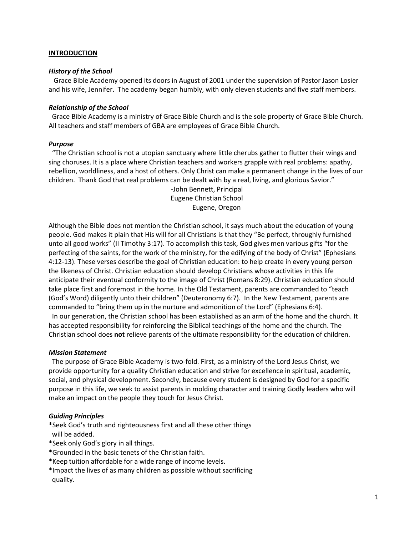#### **INTRODUCTION**

#### *History of the School*

Grace Bible Academy opened its doors in August of 2001 under the supervision of Pastor Jason Losier and his wife, Jennifer. The academy began humbly, with only eleven students and five staff members.

#### *Relationship of the School*

Grace Bible Academy is a ministry of Grace Bible Church and is the sole property of Grace Bible Church. All teachers and staff members of GBA are employees of Grace Bible Church.

#### *Purpose*

"The Christian school is not a utopian sanctuary where little cherubs gather to flutter their wings and sing choruses. It is a place where Christian teachers and workers grapple with real problems: apathy, rebellion, worldliness, and a host of others. Only Christ can make a permanent change in the lives of our children. Thank God that real problems can be dealt with by a real, living, and glorious Savior."

-John Bennett, Principal Eugene Christian School Eugene, Oregon

Although the Bible does not mention the Christian school, it says much about the education of young people. God makes it plain that His will for all Christians is that they "Be perfect, throughly furnished unto all good works" (II Timothy 3:17). To accomplish this task, God gives men various gifts "for the perfecting of the saints, for the work of the ministry, for the edifying of the body of Christ" (Ephesians 4:12-13). These verses describe the goal of Christian education: to help create in every young person the likeness of Christ. Christian education should develop Christians whose activities in this life anticipate their eventual conformity to the image of Christ (Romans 8:29). Christian education should take place first and foremost in the home. In the Old Testament, parents are commanded to "teach (God's Word) diligently unto their children" (Deuteronomy 6:7). In the New Testament, parents are commanded to "bring them up in the nurture and admonition of the Lord" (Ephesians 6:4).

In our generation, the Christian school has been established as an arm of the home and the church. It has accepted responsibility for reinforcing the Biblical teachings of the home and the church. The Christian school does **not** relieve parents of the ultimate responsibility for the education of children.

#### *Mission Statement*

The purpose of Grace Bible Academy is two-fold. First, as a ministry of the Lord Jesus Christ, we provide opportunity for a quality Christian education and strive for excellence in spiritual, academic, social, and physical development. Secondly, because every student is designed by God for a specific purpose in this life, we seek to assist parents in molding character and training Godly leaders who will make an impact on the people they touch for Jesus Christ.

### *Guiding Principles*

\*Seek God's truth and righteousness first and all these other things will be added.

- \*Seek only God's glory in all things.
- \*Grounded in the basic tenets of the Christian faith.
- \*Keep tuition affordable for a wide range of income levels.
- \*Impact the lives of as many children as possible without sacrificing quality.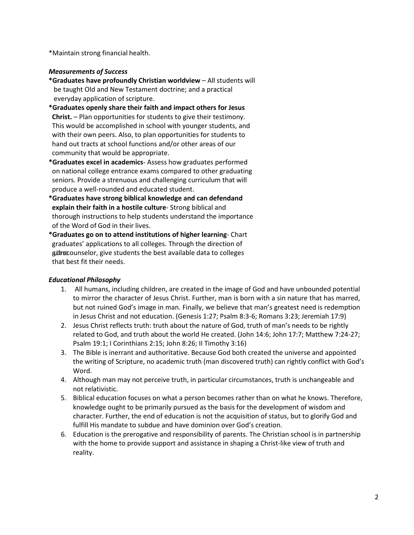\*Maintain strong financial health.

### *Measurements of Success*

- **\*Graduates have profoundly Christian worldview**  All students will be taught Old and New Testament doctrine; and a practical everyday application of scripture.
- **\*Graduates openly share their faith and impact others for Jesus Christ.** – Plan opportunities for students to give their testimony. This would be accomplished in school with younger students, and with their own peers. Also, to plan opportunities for students to hand out tracts at school functions and/or other areas of our community that would be appropriate.
- **\*Graduates excel in academics** Assess how graduates performed on national college entrance exams compared to other graduating seniors. Provide a strenuous and challenging curriculum that will produce a well-rounded and educated student.
- **\*Graduates have strong biblical knowledge and can defendand explain their faith in a hostile culture**- Strong biblical and thorough instructions to help students understand the importance of the Word of God in their lives.
- **\*Graduates go on to attend institutions of higher learning** Chart graduates' applications to all colleges. Through the direction of git acounselor, give students the best available data to colleges that best fit their needs.

# *Educational Philosophy*

- 1. All humans, including children, are created in the image of God and have unbounded potential to mirror the character of Jesus Christ. Further, man is born with a sin nature that has marred, but not ruined God's image in man. Finally, we believe that man's greatest need is redemption in Jesus Christ and not education. (Genesis 1:27; Psalm 8:3-6; Romans 3:23; Jeremiah 17:9)
- 2. Jesus Christ reflects truth: truth about the nature of God, truth of man's needs to be rightly related to God, and truth about the world He created. (John 14:6; John 17:7; Matthew 7:24-27; Psalm 19:1; I Corinthians 2:15; John 8:26; II Timothy 3:16)
- 3. The Bible is inerrant and authoritative. Because God both created the universe and appointed the writing of Scripture, no academic truth (man discovered truth) can rightly conflict with God's Word.
- 4. Although man may not perceive truth, in particular circumstances, truth is unchangeable and not relativistic.
- 5. Biblical education focuses on what a person becomes rather than on what he knows. Therefore, knowledge ought to be primarily pursued as the basis for the development of wisdom and character. Further, the end of education is not the acquisition of status, but to glorify God and fulfill His mandate to subdue and have dominion over God's creation.
- 6. Education is the prerogative and responsibility of parents. The Christian school is in partnership with the home to provide support and assistance in shaping a Christ-like view of truth and reality.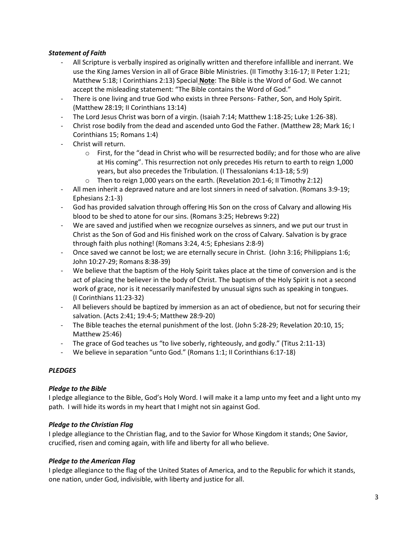# *Statement of Faith*

- All Scripture is verbally inspired as originally written and therefore infallible and inerrant. We use the King James Version in all of Grace Bible Ministries. (II Timothy 3:16-17; II Peter 1:21; Matthew 5:18; I Corinthians 2:13) Special **Note**: The Bible is the Word of God. We cannot accept the misleading statement: "The Bible contains the Word of God."
- There is one living and true God who exists in three Persons- Father, Son, and Holy Spirit. (Matthew 28:19; II Corinthians 13:14)
- The Lord Jesus Christ was born of a virgin. (Isaiah 7:14; Matthew 1:18-25; Luke 1:26-38).
- Christ rose bodily from the dead and ascended unto God the Father. (Matthew 28; Mark 16; I Corinthians 15; Romans 1:4)
- Christ will return.
	- $\circ$  First, for the "dead in Christ who will be resurrected bodily; and for those who are alive at His coming". This resurrection not only precedes His return to earth to reign 1,000 years, but also precedes the Tribulation. (I Thessalonians 4:13-18; 5:9)
	- $\circ$  Then to reign 1,000 years on the earth. (Revelation 20:1-6; II Timothy 2:12)
- All men inherit a depraved nature and are lost sinners in need of salvation. (Romans 3:9-19; Ephesians 2:1-3)
- God has provided salvation through offering His Son on the cross of Calvary and allowing His blood to be shed to atone for our sins. (Romans 3:25; Hebrews 9:22)
- We are saved and justified when we recognize ourselves as sinners, and we put our trust in Christ as the Son of God and His finished work on the cross of Calvary. Salvation is by grace through faith plus nothing! (Romans 3:24, 4:5; Ephesians 2:8-9)
- Once saved we cannot be lost; we are eternally secure in Christ. (John 3:16; Philippians 1:6; John 10:27-29; Romans 8:38-39)
- We believe that the baptism of the Holy Spirit takes place at the time of conversion and is the act of placing the believer in the body of Christ. The baptism of the Holy Spirit is not a second work of grace, nor is it necessarily manifested by unusual signs such as speaking in tongues. (I Corinthians 11:23-32)
- All believers should be baptized by immersion as an act of obedience, but not for securing their salvation. (Acts 2:41; 19:4-5; Matthew 28:9-20)
- The Bible teaches the eternal punishment of the lost. (John 5:28-29; Revelation 20:10, 15; Matthew 25:46)
- The grace of God teaches us "to live soberly, righteously, and godly." (Titus 2:11-13)
- We believe in separation "unto God." (Romans 1:1; II Corinthians 6:17-18)

# *PLEDGES*

### *Pledge to the Bible*

I pledge allegiance to the Bible, God's Holy Word. I will make it a lamp unto my feet and a light unto my path. I will hide its words in my heart that I might not sin against God.

### *Pledge to the Christian Flag*

I pledge allegiance to the Christian flag, and to the Savior for Whose Kingdom it stands; One Savior, crucified, risen and coming again, with life and liberty for all who believe.

### *Pledge to the American Flag*

I pledge allegiance to the flag of the United States of America, and to the Republic for which it stands, one nation, under God, indivisible, with liberty and justice for all.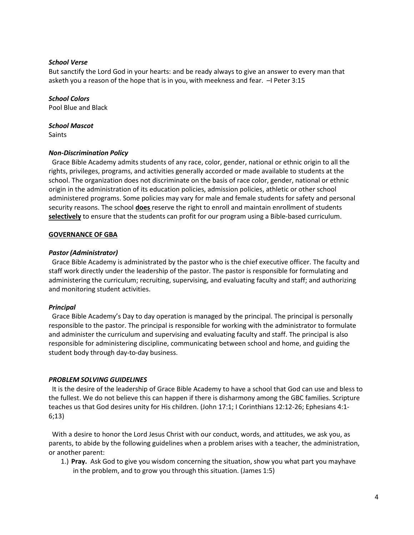#### *School Verse*

But sanctify the Lord God in your hearts: and be ready always to give an answer to every man that asketh you a reason of the hope that is in you, with meekness and fear. –I Peter 3:15

*School Colors* Pool Blue and Black

*School Mascot* Saints

#### *Non-Discrimination Policy*

Grace Bible Academy admits students of any race, color, gender, national or ethnic origin to all the rights, privileges, programs, and activities generally accorded or made available to students at the school. The organization does not discriminate on the basis of race color, gender, national or ethnic origin in the administration of its education policies, admission policies, athletic or other school administered programs. Some policies may vary for male and female students for safety and personal security reasons. The school **does** reserve the right to enroll and maintain enrollment of students **selectively** to ensure that the students can profit for our program using a Bible-based curriculum.

#### **GOVERNANCE OF GBA**

#### *Pastor (Administrator)*

Grace Bible Academy is administrated by the pastor who is the chief executive officer. The faculty and staff work directly under the leadership of the pastor. The pastor is responsible for formulating and administering the curriculum; recruiting, supervising, and evaluating faculty and staff; and authorizing and monitoring student activities.

#### *Principal*

Grace Bible Academy's Day to day operation is managed by the principal. The principal is personally responsible to the pastor. The principal is responsible for working with the administrator to formulate and administer the curriculum and supervising and evaluating faculty and staff. The principal is also responsible for administering discipline, communicating between school and home, and guiding the student body through day-to-day business.

#### *PROBLEM SOLVING GUIDELINES*

It is the desire of the leadership of Grace Bible Academy to have a school that God can use and bless to the fullest. We do not believe this can happen if there is disharmony among the GBC families. Scripture teaches us that God desires unity for His children. (John 17:1; I Corinthians 12:12-26; Ephesians 4:1- 6;13)

With a desire to honor the Lord Jesus Christ with our conduct, words, and attitudes, we ask you, as parents, to abide by the following guidelines when a problem arises with a teacher, the administration, or another parent:

1.) **Pray.** Ask God to give you wisdom concerning the situation, show you what part you mayhave in the problem, and to grow you through this situation. (James 1:5)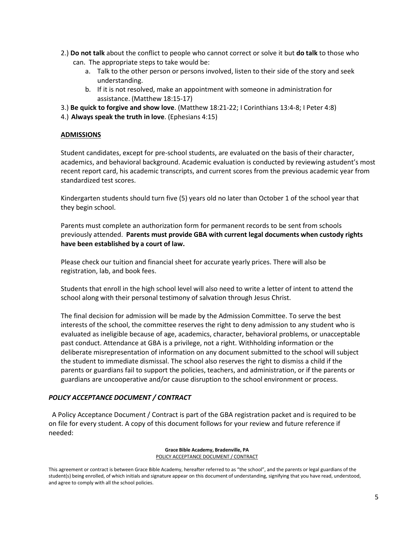- 2.) **Do not talk** about the conflict to people who cannot correct or solve it but **do talk** to those who can. The appropriate steps to take would be:
	- a. Talk to the other person or persons involved, listen to their side of the story and seek understanding.
	- b. If it is not resolved, make an appointment with someone in administration for assistance. (Matthew 18:15-17)
- 3.) **Be quick to forgive and show love**. (Matthew 18:21-22; I Corinthians 13:4-8; I Peter 4:8)
- 4.) **Always speak the truth in love**. (Ephesians 4:15)

#### **ADMISSIONS**

Student candidates, except for pre-school students, are evaluated on the basis of their character, academics, and behavioral background. Academic evaluation is conducted by reviewing astudent's most recent report card, his academic transcripts, and current scores from the previous academic year from standardized test scores.

Kindergarten students should turn five (5) years old no later than October 1 of the school year that they begin school.

Parents must complete an authorization form for permanent records to be sent from schools previously attended. **Parents must provide GBA with current legal documents when custody rights have been established by a court of law.**

Please check our tuition and financial sheet for accurate yearly prices. There will also be registration, lab, and book fees.

Students that enroll in the high school level will also need to write a letter of intent to attend the school along with their personal testimony of salvation through Jesus Christ.

The final decision for admission will be made by the Admission Committee. To serve the best interests of the school, the committee reserves the right to deny admission to any student who is evaluated as ineligible because of age, academics, character, behavioral problems, or unacceptable past conduct. Attendance at GBA is a privilege, not a right. Withholding information or the deliberate misrepresentation of information on any document submitted to the school will subject the student to immediate dismissal. The school also reserves the right to dismiss a child if the parents or guardians fail to support the policies, teachers, and administration, or if the parents or guardians are uncooperative and/or cause disruption to the school environment or process.

### *POLICY ACCEPTANCE DOCUMENT / CONTRACT*

A Policy Acceptance Document / Contract is part of the GBA registration packet and is required to be on file for every student. A copy of this document follows for your review and future reference if needed:

> **Grace Bible Academy, Bradenville, PA** POLICY ACCEPTANCE DOCUMENT / CONTRACT

This agreement or contract is between Grace Bible Academy, hereafter referred to as "the school", and the parents or legal guardians of the student(s) being enrolled, of which initials and signature appear on this document of understanding, signifying that you have read, understood, and agree to comply with all the school policies.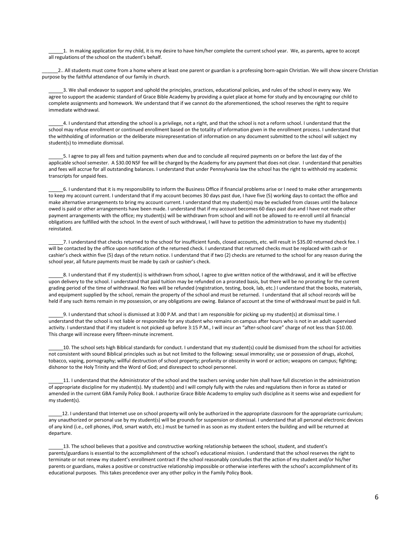1. In making application for my child, it is my desire to have him/her complete the current school year. We, as parents, agree to accept all regulations of the school on the student's behalf.

2.. All students must come from a home where at least one parent or guardian is a professing born-again Christian. We will show sincere Christian purpose by the faithful attendance of our family in church.

3. We shall endeavor to support and uphold the principles, practices, educational policies, and rules of the school in every way. We agree to support the academic standard of Grace Bible Academy by providing a quiet place at home for study and by encouraging our child to complete assignments and homework. We understand that if we cannot do the aforementioned, the school reserves the right to require immediate withdrawal.

4. I understand that attending the school is a privilege, not a right, and that the school is not a reform school. I understand that the school may refuse enrollment or continued enrollment based on the totality of information given in the enrollment process. I understand that the withholding of information or the deliberate misrepresentation of information on any document submitted to the school will subject my student(s) to immediate dismissal.

5. I agree to pay all fees and tuition payments when due and to conclude all required payments on or before the last day of the applicable school semester. A \$30.00 NSF fee will be charged by the Academy for any payment that does not clear. I understand that penalties and fees will accrue for all outstanding balances. I understand that under Pennsylvania law the school has the right to withhold my academic transcripts for unpaid fees.

6. I understand that it is my responsibility to inform the Business Office if financial problems arise or I need to make other arrangements to keep my account current. I understand that if my account becomes 30 days past due, I have five (5) working days to contact the office and make alternative arrangements to bring my account current. I understand that my student(s) may be excluded from classes until the balance owed is paid or other arrangements have been made. I understand that if my account becomes 60 days past due and I have not made other payment arrangements with the office; my student(s) will be withdrawn from school and will not be allowed to re-enroll until all financial obligations are fulfilled with the school. In the event of such withdrawal, I will have to petition the administration to have my student(s) reinstated.

7. I understand that checks returned to the school for insufficient funds, closed accounts, etc. will result in \$35.00 returned check fee. I will be contacted by the office upon notification of the returned check. I understand that returned checks must be replaced with cash or cashier's check within five (5) days of the return notice. I understand that if two (2) checks are returned to the school for any reason during the school year, all future payments must be made by cash or cashier's check.

8. I understand that if my student(s) is withdrawn from school, I agree to give written notice of the withdrawal, and it will be effective upon delivery to the school. I understand that paid tuition may be refunded on a prorated basis, but there will be no prorating for the current grading period of the time of withdrawal. No fees will be refunded (registration, testing, book, lab, etc.) I understand that the books, materials, and equipment supplied by the school, remain the property of the school and must be returned. I understand that all school records will be held if any such items remain in my possession, or any obligations are owing. Balance of account at the time of withdrawal must be paid in full.

9. I understand that school is dismissed at 3:00 P.M. and that I am responsible for picking up my student(s) at dismissal time. I understand that the school is not liable or responsible for any student who remains on campus after hours who is not in an adult supervised activity. I understand that if my student is not picked up before 3:15 P.M., I will incur an "after-school care" charge of not less than \$10.00. This charge will increase every fifteen-minute increment.

10. The school sets high Biblical standards for conduct. I understand that my student(s) could be dismissed from the school for activities not consistent with sound Biblical principles such as but not limited to the following: sexual immorality; use or possession of drugs, alcohol, tobacco, vaping, pornography; willful destruction of school property; profanity or obscenity in word or action; weapons on campus; fighting; dishonor to the Holy Trinity and the Word of God; and disrespect to school personnel.

11. I understand that the Administrator of the school and the teachers serving under him shall have full discretion in the administration of appropriate discipline for my student(s). My student(s) and I will comply fully with the rules and regulations then in force as stated or amended in the current GBA Family Policy Book. I authorize Grace Bible Academy to employ such discipline as it seems wise and expedient for my student(s).

12. I understand that Internet use on school property will only be authorized in the appropriate classroom for the appropriate curriculum; any unauthorized or personal use by my student(s) will be grounds for suspension or dismissal. I understand that all personal electronic devices of any kind (i.e., cell phones, iPod, smart watch, etc.) must be turned in as soon as my student enters the building and will be returned at departure.

13. The school believes that a positive and constructive working relationship between the school, student, and student's parents/guardians is essential to the accomplishment of the school's educational mission. I understand that the school reserves the right to terminate or not renew my student's enrollment contract if the school reasonably concludes that the action of my student and/or his/her parents or guardians, makes a positive or constructive relationship impossible or otherwise interferes with the school's accomplishment of its educational purposes. This takes precedence over any other policy in the Family Policy Book.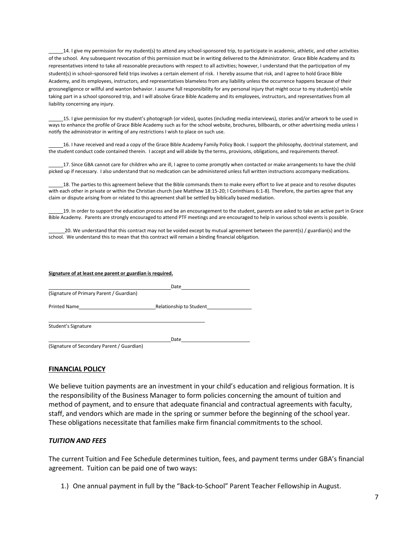14. I give my permission for my student(s) to attend any school-sponsored trip, to participate in academic, athletic, and other activities of the school. Any subsequent revocation of this permission must be in writing delivered to the Administrator. Grace Bible Academy and its representatives intend to take all reasonable precautions with respect to all activities; however, I understand that the participation of my student(s) in school–sponsored field trips involves a certain element of risk. I hereby assume that risk, and I agree to hold Grace Bible Academy, and its employees, instructors, and representatives blameless from any liability unless the occurrence happens because of their grossnegligence or willful and wanton behavior. I assume full responsibility for any personal injury that might occur to my student(s) while taking part in a school sponsored trip, and I will absolve Grace Bible Academy and its employees, instructors, and representatives from all liability concerning any injury.

15. I give permission for my student's photograph (or video), quotes (including media interviews), stories and/or artwork to be used in ways to enhance the profile of Grace Bible Academy such as for the school website, brochures, billboards, or other advertising media unless I notify the administrator in writing of any restrictions I wish to place on such use.

16. I have received and read a copy of the Grace Bible Academy Family Policy Book. I support the philosophy, doctrinal statement, and the student conduct code contained therein. I accept and will abide by the terms, provisions, obligations, and requirements thereof.

17. Since GBA cannot care for children who are ill, I agree to come promptly when contacted or make arrangements to have the child picked up if necessary. I also understand that no medication can be administered unless full written instructions accompany medications.

18. The parties to this agreement believe that the Bible commands them to make every effort to live at peace and to resolve disputes with each other in private or within the Christian church (see Matthew 18:15-20; I Corinthians 6:1-8). Therefore, the parties agree that any claim or dispute arising from or related to this agreement shall be settled by biblically based mediation.

19. In order to support the education process and be an encouragement to the student, parents are asked to take an active part in Grace Bible Academy. Parents are strongly encouraged to attend PTF meetings and are encouraged to help in various school events is possible.

20. We understand that this contract may not be voided except by mutual agreement between the parent(s) / guardian(s) and the school. We understand this to mean that this contract will remain a binding financial obligation.

#### **Signature of at least one parent or guardian is required.**

| Date                                     |                         |  |
|------------------------------------------|-------------------------|--|
| (Signature of Primary Parent / Guardian) |                         |  |
| Printed Name                             | Relationship to Student |  |
| Student's Signature                      |                         |  |
|                                          | Date                    |  |

(Signature of Secondary Parent / Guardian)

#### **FINANCIAL POLICY**

We believe tuition payments are an investment in your child's education and religious formation. It is the responsibility of the Business Manager to form policies concerning the amount of tuition and method of payment, and to ensure that adequate financial and contractual agreements with faculty, staff, and vendors which are made in the spring or summer before the beginning of the school year. These obligations necessitate that families make firm financial commitments to the school.

#### *TUITION AND FEES*

The current Tuition and Fee Schedule determines tuition, fees, and payment terms under GBA's financial agreement. Tuition can be paid one of two ways:

1.) One annual payment in full by the "Back-to-School" Parent Teacher Fellowship in August.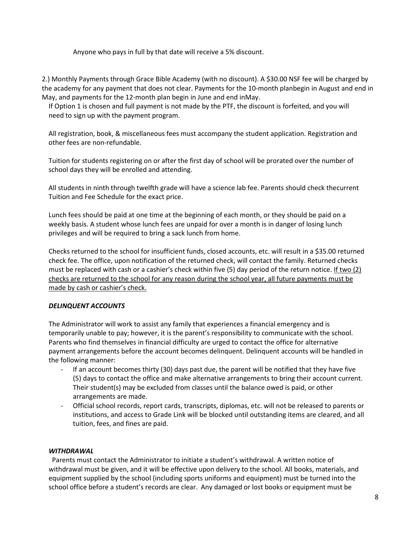Anyone who pays in full by that date will receive a 5% discount.

2.) Monthly Payments through Grace Bible Academy (with no discount). A \$30.00 NSF fee will be charged by the academy for any payment that does not clear. Payments for the 10-month planbegin in August and end in May, and payments for the 12-month plan begin in June and end inMay.

If Option 1 is chosen and full payment is not made by the PTF, the discount is forfeited, and you will need to sign up with the payment program.

All registration, book, & miscellaneous fees must accompany the student application. Registration and other fees are non-refundable.

Tuition for students registering on or after the first day of school will be prorated over the number of school days they will be enrolled and attending.

All students in ninth through twelfth grade will have a science lab fee. Parents should check thecurrent Tuition and Fee Schedule for the exact price.

Lunch fees should be paid at one time at the beginning of each month, or they should be paid on a weekly basis. A student whose lunch fees are unpaid for over a month is in danger of losing lunch privileges and will be required to bring a sack lunch from home.

Checks returned to the school for insufficient funds, closed accounts, etc. will result in a \$35.00 returned check fee. The office, upon notification of the returned check, will contact the family. Returned checks must be replaced with cash or a cashier's check within five  $(5)$  day period of the return notice. If two  $(2)$ checks are returned to the school for any reason during the school year, all future payments must be made by cash or cashier's check.

### *DELINQUENT ACCOUNTS*

The Administrator will work to assist any family that experiences a financial emergency and is temporarily unable to pay; however, it is the parent's responsibility to communicate with the school. Parents who find themselves in financial difficulty are urged to contact the office for alternative payment arrangements before the account becomes delinquent. Delinquent accounts will be handled in the following manner:

- If an account becomes thirty (30) days past due, the parent will be notified that they have five (5) days to contact the office and make alternative arrangements to bring their account current. Their student(s) may be excluded from classes until the balance owed is paid, or other arrangements are made.
- Official school records, report cards, transcripts, diplomas, etc. will not be released to parents or institutions, and access to Grade Link will be blocked until outstanding items are cleared, and all tuition, fees, and fines are paid.

### *WITHDRAWAL*

Parents must contact the Administrator to initiate a student's withdrawal. A written notice of withdrawal must be given, and it will be effective upon delivery to the school. All books, materials, and equipment supplied by the school (including sports uniforms and equipment) must be turned into the school office before a student's records are clear. Any damaged or lost books or equipment must be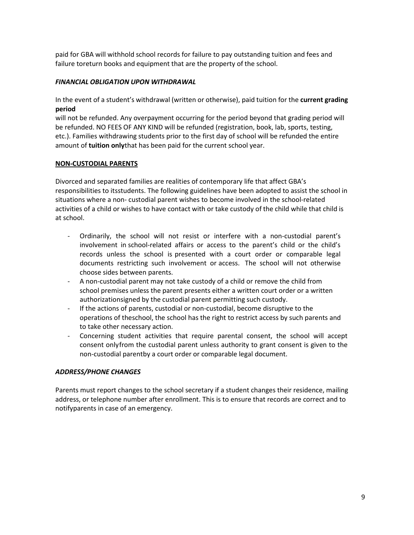paid for GBA will withhold school records for failure to pay outstanding tuition and fees and failure toreturn books and equipment that are the property of the school.

### *FINANCIAL OBLIGATION UPON WITHDRAWAL*

In the event of a student's withdrawal (written or otherwise), paid tuition for the **current grading period**

will not be refunded. Any overpayment occurring for the period beyond that grading period will be refunded. NO FEES OF ANY KIND will be refunded (registration, book, lab, sports, testing, etc.). Families withdrawing students prior to the first day of school will be refunded the entire amount of **tuition only**that has been paid for the current school year.

#### **NON-CUSTODIAL PARENTS**

Divorced and separated families are realities of contemporary life that affect GBA's responsibilities to itsstudents. The following guidelines have been adopted to assist the school in situations where a non- custodial parent wishes to become involved in the school-related activities of a child or wishes to have contact with or take custody of the child while that child is at school.

- Ordinarily, the school will not resist or interfere with a non-custodial parent's involvement in school-related affairs or access to the parent's child or the child's records unless the school is presented with a court order or comparable legal documents restricting such involvement or access. The school will not otherwise choose sides between parents.
- A non-custodial parent may not take custody of a child or remove the child from school premises unless the parent presents either a written court order or a written authorizationsigned by the custodial parent permitting such custody.
- If the actions of parents, custodial or non-custodial, become disruptive to the operations of theschool, the school has the right to restrict access by such parents and to take other necessary action.
- Concerning student activities that require parental consent, the school will accept consent onlyfrom the custodial parent unless authority to grant consent is given to the non-custodial parentby a court order or comparable legal document.

### *ADDRESS/PHONE CHANGES*

Parents must report changes to the school secretary if a student changes their residence, mailing address, or telephone number after enrollment. This is to ensure that records are correct and to notifyparents in case of an emergency.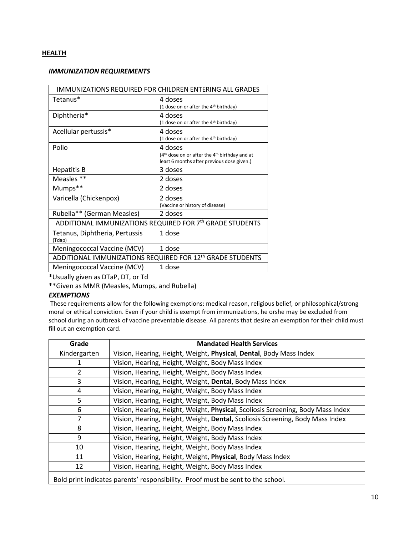### **HEALTH**

#### *IMMUNIZATION REQUIREMENTS*

| IMMUNIZATIONS REQUIRED FOR CHILDREN ENTERING ALL GRADES               |                                                                                                            |  |
|-----------------------------------------------------------------------|------------------------------------------------------------------------------------------------------------|--|
| Tetanus*                                                              | 4 doses<br>(1 dose on or after the 4 <sup>th</sup> birthday)                                               |  |
| Diphtheria*                                                           | 4 doses<br>(1 dose on or after the 4 <sup>th</sup> birthday)                                               |  |
| Acellular pertussis*                                                  | 4 doses<br>(1 dose on or after the 4 <sup>th</sup> birthday)                                               |  |
| Polio                                                                 | 4 doses<br>$(4th$ dose on or after the $4th$ birthday and at<br>least 6 months after previous dose given.) |  |
| Hepatitis B                                                           | 3 doses                                                                                                    |  |
| Measles **                                                            | 2 doses                                                                                                    |  |
| Mumps**                                                               | 2 doses                                                                                                    |  |
| Varicella (Chickenpox)                                                | 2 doses<br>(Vaccine or history of disease)                                                                 |  |
| Rubella** (German Measles)                                            | 2 doses                                                                                                    |  |
| ADDITIONAL IMMUNIZATIONS REQUIRED FOR 7th GRADE STUDENTS              |                                                                                                            |  |
| Tetanus, Diphtheria, Pertussis<br>(Tdap)                              | 1 dose                                                                                                     |  |
| Meningococcal Vaccine (MCV)                                           | 1 dose                                                                                                     |  |
| ADDITIONAL IMMUNIZATIONS REQUIRED FOR 12 <sup>th</sup> GRADE STUDENTS |                                                                                                            |  |
| Meningococcal Vaccine (MCV)                                           | 1 dose                                                                                                     |  |

\*Usually given as DTaP, DT, or Td

\*\*Given as MMR (Measles, Mumps, and Rubella)

## *EXEMPTIONS*

These requirements allow for the following exemptions: medical reason, religious belief, or philosophical/strong moral or ethical conviction. Even if your child is exempt from immunizations, he orshe may be excluded from school during an outbreak of vaccine preventable disease. All parents that desire an exemption for their child must fill out an exemption card.

| Grade                                                                           | <b>Mandated Health Services</b>                                                 |
|---------------------------------------------------------------------------------|---------------------------------------------------------------------------------|
| Kindergarten                                                                    | Vision, Hearing, Height, Weight, Physical, Dental, Body Mass Index              |
|                                                                                 | Vision, Hearing, Height, Weight, Body Mass Index                                |
| 2                                                                               | Vision, Hearing, Height, Weight, Body Mass Index                                |
| 3                                                                               | Vision, Hearing, Height, Weight, Dental, Body Mass Index                        |
| 4                                                                               | Vision, Hearing, Height, Weight, Body Mass Index                                |
| 5                                                                               | Vision, Hearing, Height, Weight, Body Mass Index                                |
| 6                                                                               | Vision, Hearing, Height, Weight, Physical, Scoliosis Screening, Body Mass Index |
|                                                                                 | Vision, Hearing, Height, Weight, Dental, Scoliosis Screening, Body Mass Index   |
| 8                                                                               | Vision, Hearing, Height, Weight, Body Mass Index                                |
| 9                                                                               | Vision, Hearing, Height, Weight, Body Mass Index                                |
| 10                                                                              | Vision, Hearing, Height, Weight, Body Mass Index                                |
| 11                                                                              | Vision, Hearing, Height, Weight, Physical, Body Mass Index                      |
| 12                                                                              | Vision, Hearing, Height, Weight, Body Mass Index                                |
| Bold print indicates parents' responsibility. Proof must be sent to the school. |                                                                                 |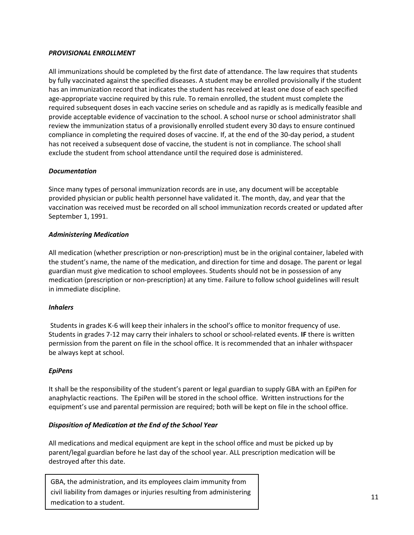## *PROVISIONAL ENROLLMENT*

All immunizations should be completed by the first date of attendance. The law requires that students by fully vaccinated against the specified diseases. A student may be enrolled provisionally if the student has an immunization record that indicates the student has received at least one dose of each specified age-appropriate vaccine required by this rule. To remain enrolled, the student must complete the required subsequent doses in each vaccine series on schedule and as rapidly as is medically feasible and provide acceptable evidence of vaccination to the school. A school nurse or school administrator shall review the immunization status of a provisionally enrolled student every 30 days to ensure continued compliance in completing the required doses of vaccine. If, at the end of the 30-day period, a student has not received a subsequent dose of vaccine, the student is not in compliance. The school shall exclude the student from school attendance until the required dose is administered.

## *Documentation*

Since many types of personal immunization records are in use, any document will be acceptable provided physician or public health personnel have validated it. The month, day, and year that the vaccination was received must be recorded on all school immunization records created or updated after September 1, 1991.

## *Administering Medication*

All medication (whether prescription or non-prescription) must be in the original container, labeled with the student's name, the name of the medication, and direction for time and dosage. The parent or legal guardian must give medication to school employees. Students should not be in possession of any medication (prescription or non-prescription) at any time. Failure to follow school guidelines will result in immediate discipline.

### *Inhalers*

Students in grades K-6 will keep their inhalers in the school's office to monitor frequency of use. Students in grades 7-12 may carry their inhalers to school or school-related events. **IF** there is written permission from the parent on file in the school office. It is recommended that an inhaler withspacer be always kept at school.

### *EpiPens*

It shall be the responsibility of the student's parent or legal guardian to supply GBA with an EpiPen for anaphylactic reactions. The EpiPen will be stored in the school office. Written instructions for the equipment's use and parental permission are required; both will be kept on file in the school office.

### *Disposition of Medication at the End of the School Year*

All medications and medical equipment are kept in the school office and must be picked up by parent/legal guardian before he last day of the school year. ALL prescription medication will be destroyed after this date.

GBA, the administration, and its employees claim immunity from civil liability from damages or injuries resulting from administering medication to a student.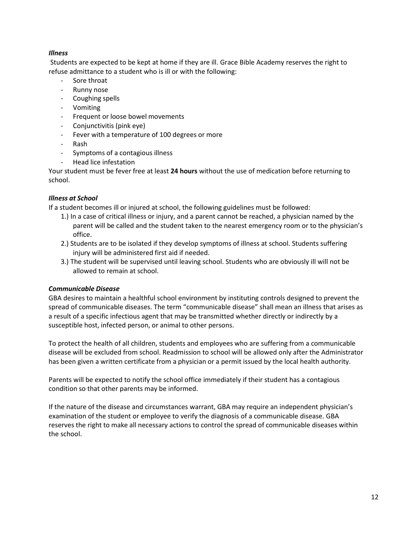# *Illness*

Students are expected to be kept at home if they are ill. Grace Bible Academy reserves the right to refuse admittance to a student who is ill or with the following:

- Sore throat
- Runny nose
- Coughing spells
- Vomiting
- Frequent or loose bowel movements
- Conjunctivitis (pink eye)
- Fever with a temperature of 100 degrees or more
- Rash
- Symptoms of a contagious illness
- Head lice infestation

Your student must be fever free at least **24 hours** without the use of medication before returning to school.

## *Illness at School*

If a student becomes ill or injured at school, the following guidelines must be followed:

- 1.) In a case of critical illness or injury, and a parent cannot be reached, a physician named by the parent will be called and the student taken to the nearest emergency room or to the physician's office.
- 2.) Students are to be isolated if they develop symptoms of illness at school. Students suffering injury will be administered first aid if needed.
- 3.) The student will be supervised until leaving school. Students who are obviously ill will not be allowed to remain at school.

### *Communicable Disease*

GBA desires to maintain a healthful school environment by instituting controls designed to prevent the spread of communicable diseases. The term "communicable disease" shall mean an illness that arises as a result of a specific infectious agent that may be transmitted whether directly or indirectly by a susceptible host, infected person, or animal to other persons.

To protect the health of all children, students and employees who are suffering from a communicable disease will be excluded from school. Readmission to school will be allowed only after the Administrator has been given a written certificate from a physician or a permit issued by the local health authority.

Parents will be expected to notify the school office immediately if their student has a contagious condition so that other parents may be informed.

If the nature of the disease and circumstances warrant, GBA may require an independent physician's examination of the student or employee to verify the diagnosis of a communicable disease. GBA reserves the right to make all necessary actions to control the spread of communicable diseases within the school.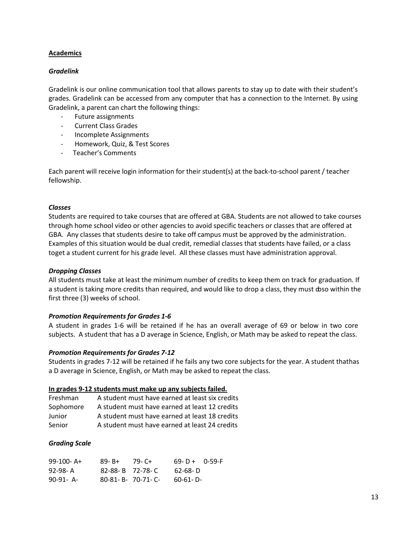### **Academics**

### *Gradelink*

Gradelink is our online communication tool that allows parents to stay up to date with their student's grades. Gradelink can be accessed from any computer that has a connection to the Internet. By using Gradelink, a parent can chart the following things:

- Future assignments
- Current Class Grades
- Incomplete Assignments
- Homework, Quiz, & Test Scores
- Teacher's Comments

Each parent will receive login information for their student(s) at the back-to-school parent / teacher fellowship.

#### *Classes*

Students are required to take courses that are offered at GBA. Students are not allowed to take courses through home school video or other agencies to avoid specific teachers or classes that are offered at GBA. Any classes that students desire to take off campus must be approved by the administration. Examples of this situation would be dual credit, remedial classes that students have failed, or a class toget a student current for his grade level. All these classes must have administration approval.

#### *Dropping Classes*

All students must take at least the minimum number of credits to keep them on track for graduation. If a student is taking more credits than required, and would like to drop a class, they must doso within the first three (3) weeks of school.

### *Promotion Requirements for Grades 1-6*

A student in grades 1-6 will be retained if he has an overall average of 69 or below in two core subjects. A student that has a D average in Science, English, or Math may be asked to repeat the class.

#### *Promotion Requirements for Grades 7-12*

Students in grades 7-12 will be retained if he fails any two core subjects for the year. A student thathas a D average in Science, English, or Math may be asked to repeat the class.

#### **In grades 9-12 students must make up any subjects failed.**

| Freshman  | A student must have earned at least six credits |
|-----------|-------------------------------------------------|
| Sophomore | A student must have earned at least 12 credits  |
| Junior    | A student must have earned at least 18 credits  |
| Senior    | A student must have earned at least 24 credits  |

### *Grading Scale*

| $99-100-$ A+ | 89- B+ | 79- C+                | $69 - D + 0 - 59 - F$ |  |
|--------------|--------|-----------------------|-----------------------|--|
| 92-98- A     |        | $82 - 88 - B$ 72-78-C | 62-68- D              |  |
| $90-91 - A$  |        | 80-81- B- 70-71- C-   | 60-61- D-             |  |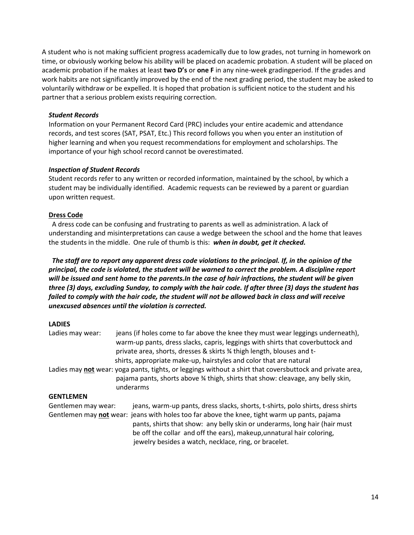A student who is not making sufficient progress academically due to low grades, not turning in homework on time, or obviously working below his ability will be placed on academic probation. A student will be placed on academic probation if he makes at least **two D's** or **one F** in any nine-week gradingperiod. If the grades and work habits are not significantly improved by the end of the next grading period, the student may be asked to voluntarily withdraw or be expelled. It is hoped that probation is sufficient notice to the student and his partner that a serious problem exists requiring correction.

## *Student Records*

Information on your Permanent Record Card (PRC) includes your entire academic and attendance records, and test scores (SAT, PSAT, Etc.) This record follows you when you enter an institution of higher learning and when you request recommendations for employment and scholarships. The importance of your high school record cannot be overestimated.

### *Inspection of Student Records*

Student records refer to any written or recorded information, maintained by the school, by which a student may be individually identified. Academic requests can be reviewed by a parent or guardian upon written request.

## **Dress Code**

A dress code can be confusing and frustrating to parents as well as administration. A lack of understanding and misinterpretations can cause a wedge between the school and the home that leaves the students in the middle. One rule of thumb is this: *when in doubt, get it checked.*

*The staff are to report any apparent dress code violations to the principal. If, in the opinion of the principal, the code is violated, the student will be warned to correct the problem. A discipline report will be issued and sent home to the parents.In the case of hair infractions, the student will be given three (3) days, excluding Sunday, to comply with the hair code. If after three (3) days the student has failed to comply with the hair code, the student will not be allowed back in class and will receive unexcused absences until the violation is corrected.*

# **LADIES**

| Ladies may wear:    | jeans (if holes come to far above the knee they must wear leggings underneath),<br>warm-up pants, dress slacks, capris, leggings with shirts that coverbuttock and<br>private area, shorts, dresses & skirts % thigh length, blouses and t-<br>shirts, appropriate make-up, hairstyles and color that are natural |
|---------------------|-------------------------------------------------------------------------------------------------------------------------------------------------------------------------------------------------------------------------------------------------------------------------------------------------------------------|
|                     | Ladies may not wear: yoga pants, tights, or leggings without a shirt that coversbuttock and private area,<br>pajama pants, shorts above 3/4 thigh, shirts that show: cleavage, any belly skin,<br>underarms                                                                                                       |
| <b>GENTLEMEN</b>    |                                                                                                                                                                                                                                                                                                                   |
| Gentlemen may wear: | jeans, warm-up pants, dress slacks, shorts, t-shirts, polo shirts, dress shirts                                                                                                                                                                                                                                   |
|                     | Gentlemen may not wear: jeans with holes too far above the knee, tight warm up pants, pajama<br>pants, shirts that show: any belly skin or underarms, long hair (hair must<br>be off the collar and off the ears), makeup, unnatural hair coloring,<br>jewelry besides a watch, necklace, ring, or bracelet.      |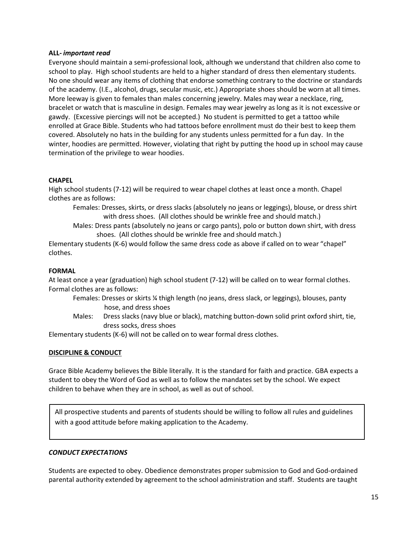### **ALL-** *important read*

Everyone should maintain a semi-professional look, although we understand that children also come to school to play. High school students are held to a higher standard of dress then elementary students. No one should wear any items of clothing that endorse something contrary to the doctrine or standards of the academy. (I.E., alcohol, drugs, secular music, etc.) Appropriate shoes should be worn at all times. More leeway is given to females than males concerning jewelry. Males may wear a necklace, ring, bracelet or watch that is masculine in design. Females may wear jewelry as long as it is not excessive or gawdy. (Excessive piercings will not be accepted.) No student is permitted to get a tattoo while enrolled at Grace Bible. Students who had tattoos before enrollment must do their best to keep them covered. Absolutely no hats in the building for any students unless permitted for a fun day. In the winter, hoodies are permitted. However, violating that right by putting the hood up in school may cause termination of the privilege to wear hoodies.

### **CHAPEL**

High school students (7-12) will be required to wear chapel clothes at least once a month. Chapel clothes are as follows:

Females: Dresses, skirts, or dress slacks (absolutely no jeans or leggings), blouse, or dress shirt with dress shoes. (All clothes should be wrinkle free and should match.)

Males: Dress pants (absolutely no jeans or cargo pants), polo or button down shirt, with dress shoes. (All clothes should be wrinkle free and should match.)

Elementary students (K-6) would follow the same dress code as above if called on to wear "chapel" clothes.

#### **FORMAL**

At least once a year (graduation) high school student (7-12) will be called on to wear formal clothes. Formal clothes are as follows:

- Females: Dresses or skirts ¼ thigh length (no jeans, dress slack, or leggings), blouses, panty hose, and dress shoes
- Males: Dress slacks (navy blue or black), matching button-down solid print oxford shirt, tie, dress socks, dress shoes

Elementary students (K-6) will not be called on to wear formal dress clothes.

### **DISCIPLINE & CONDUCT**

Grace Bible Academy believes the Bible literally. It is the standard for faith and practice. GBA expects a student to obey the Word of God as well as to follow the mandates set by the school. We expect children to behave when they are in school, as well as out of school.

All prospective students and parents of students should be willing to follow all rules and guidelines with a good attitude before making application to the Academy.

### *CONDUCT EXPECTATIONS*

Students are expected to obey. Obedience demonstrates proper submission to God and God-ordained parental authority extended by agreement to the school administration and staff. Students are taught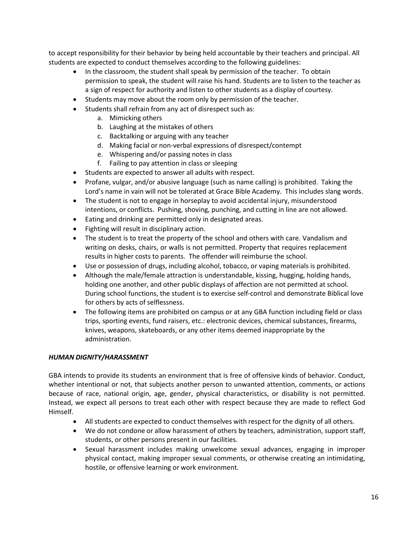to accept responsibility for their behavior by being held accountable by their teachers and principal. All students are expected to conduct themselves according to the following guidelines:

- In the classroom, the student shall speak by permission of the teacher. To obtain permission to speak, the student will raise his hand. Students are to listen to the teacher as a sign of respect for authority and listen to other students as a display of courtesy.
- Students may move about the room only by permission of the teacher.
- Students shall refrain from any act of disrespect such as:
	- a. Mimicking others
	- b. Laughing at the mistakes of others
	- c. Backtalking or arguing with any teacher
	- d. Making facial or non-verbal expressions of disrespect/contempt
	- e. Whispering and/or passing notes in class
	- f. Failing to pay attention in class or sleeping
- Students are expected to answer all adults with respect.
- Profane, vulgar, and/or abusive language (such as name calling) is prohibited. Taking the Lord's name in vain will not be tolerated at Grace Bible Academy. This includes slang words.
- The student is not to engage in horseplay to avoid accidental injury, misunderstood intentions, or conflicts. Pushing, shoving, punching, and cutting in line are not allowed.
- Eating and drinking are permitted only in designated areas.
- Fighting will result in disciplinary action.
- The student is to treat the property of the school and others with care. Vandalism and writing on desks, chairs, or walls is not permitted. Property that requires replacement results in higher costs to parents. The offender will reimburse the school.
- Use or possession of drugs, including alcohol, tobacco, or vaping materials is prohibited.
- Although the male/female attraction is understandable, kissing, hugging, holding hands, holding one another, and other public displays of affection are not permitted at school. During school functions, the student is to exercise self-control and demonstrate Biblical love for others by acts of selflessness.
- The following items are prohibited on campus or at any GBA function including field or class trips, sporting events, fund raisers, etc.: electronic devices, chemical substances, firearms, knives, weapons, skateboards, or any other items deemed inappropriate by the administration.

# *HUMAN DIGNITY/HARASSMENT*

GBA intends to provide its students an environment that is free of offensive kinds of behavior. Conduct, whether intentional or not, that subjects another person to unwanted attention, comments, or actions because of race, national origin, age, gender, physical characteristics, or disability is not permitted. Instead, we expect all persons to treat each other with respect because they are made to reflect God Himself.

- All students are expected to conduct themselves with respect for the dignity of all others.
- We do not condone or allow harassment of others by teachers, administration, support staff, students, or other persons present in our facilities.
- Sexual harassment includes making unwelcome sexual advances, engaging in improper physical contact, making improper sexual comments, or otherwise creating an intimidating, hostile, or offensive learning or work environment.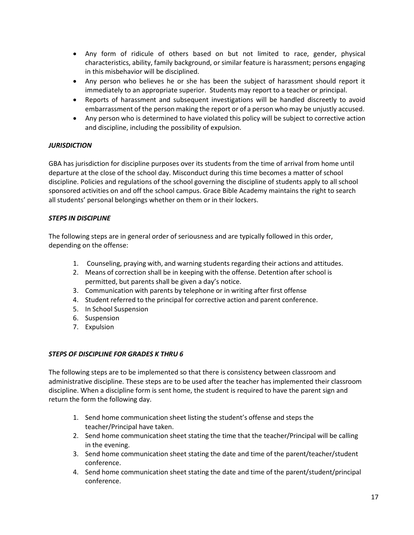- Any form of ridicule of others based on but not limited to race, gender, physical characteristics, ability, family background, or similar feature is harassment; persons engaging in this misbehavior will be disciplined.
- Any person who believes he or she has been the subject of harassment should report it immediately to an appropriate superior. Students may report to a teacher or principal.
- Reports of harassment and subsequent investigations will be handled discreetly to avoid embarrassment of the person making the report or of a person who may be unjustly accused.
- Any person who is determined to have violated this policy will be subject to corrective action and discipline, including the possibility of expulsion.

# *JURISDICTION*

GBA has jurisdiction for discipline purposes over its students from the time of arrival from home until departure at the close of the school day. Misconduct during this time becomes a matter of school discipline. Policies and regulations of the school governing the discipline of students apply to all school sponsored activities on and off the school campus. Grace Bible Academy maintains the right to search all students' personal belongings whether on them or in their lockers.

# *STEPS IN DISCIPLINE*

The following steps are in general order of seriousness and are typically followed in this order, depending on the offense:

- 1. Counseling, praying with, and warning students regarding their actions and attitudes.
- 2. Means of correction shall be in keeping with the offense. Detention after school is permitted, but parents shall be given a day's notice.
- 3. Communication with parents by telephone or in writing after first offense
- 4. Student referred to the principal for corrective action and parent conference.
- 5. In School Suspension
- 6. Suspension
- 7. Expulsion

# *STEPS OF DISCIPLINE FOR GRADES K THRU 6*

The following steps are to be implemented so that there is consistency between classroom and administrative discipline. These steps are to be used after the teacher has implemented their classroom discipline. When a discipline form is sent home, the student is required to have the parent sign and return the form the following day.

- 1. Send home communication sheet listing the student's offense and steps the teacher/Principal have taken.
- 2. Send home communication sheet stating the time that the teacher/Principal will be calling in the evening.
- 3. Send home communication sheet stating the date and time of the parent/teacher/student conference.
- 4. Send home communication sheet stating the date and time of the parent/student/principal conference.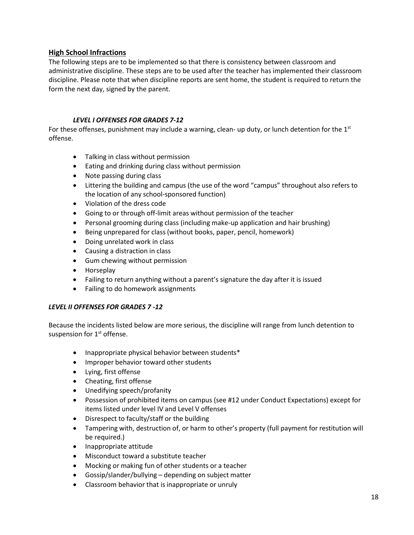# **High School Infractions**

The following steps are to be implemented so that there is consistency between classroom and administrative discipline. These steps are to be used after the teacher has implemented their classroom discipline. Please note that when discipline reports are sent home, the student is required to return the form the next day, signed by the parent.

# *LEVEL I OFFENSES FOR GRADES 7-12*

For these offenses, punishment may include a warning, clean- up duty, or lunch detention for the  $1<sup>st</sup>$ offense.

- Talking in class without permission
- Eating and drinking during class without permission
- Note passing during class
- Littering the building and campus (the use of the word "campus" throughout also refers to the location of any school-sponsored function)
- Violation of the dress code
- Going to or through off-limit areas without permission of the teacher
- Personal grooming during class (including make-up application and hair brushing)
- Being unprepared for class(without books, paper, pencil, homework)
- Doing unrelated work in class
- Causing a distraction in class
- Gum chewing without permission
- Horseplay
- Failing to return anything without a parent's signature the day after it is issued
- Failing to do homework assignments

### *LEVEL II OFFENSES FOR GRADES 7 -12*

Because the incidents listed below are more serious, the discipline will range from lunch detention to suspension for 1<sup>st</sup> offense.

- Inappropriate physical behavior between students\*
- Improper behavior toward other students
- Lying, first offense
- Cheating, first offense
- Unedifying speech/profanity
- Possession of prohibited items on campus (see #12 under Conduct Expectations) except for items listed under level IV and Level V offenses
- Disrespect to faculty/staff or the building
- Tampering with, destruction of, or harm to other's property (full payment for restitution will be required.)
- Inappropriate attitude
- Misconduct toward a substitute teacher
- Mocking or making fun of other students or a teacher
- Gossip/slander/bullying depending on subject matter
- Classroom behavior that is inappropriate or unruly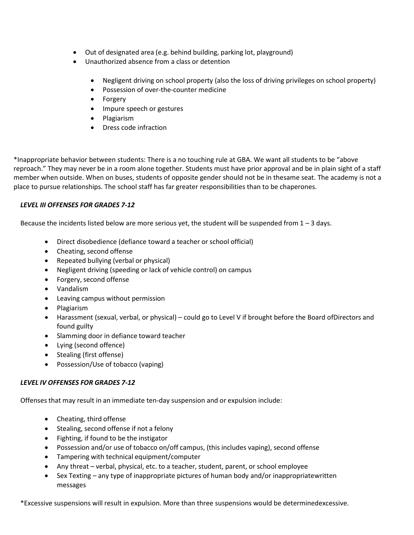- Out of designated area (e.g. behind building, parking lot, playground)
- Unauthorized absence from a class or detention
	- Negligent driving on school property (also the loss of driving privileges on school property)
	- Possession of over-the-counter medicine
	- Forgery
	- Impure speech or gestures
	- Plagiarism
	- Dress code infraction

\*Inappropriate behavior between students: There is a no touching rule at GBA. We want all students to be "above reproach." They may never be in a room alone together. Students must have prior approval and be in plain sight of a staff member when outside. When on buses, students of opposite gender should not be in thesame seat. The academy is not a place to pursue relationships. The school staff has far greater responsibilities than to be chaperones.

# *LEVEL III OFFENSES FOR GRADES 7-12*

Because the incidents listed below are more serious yet, the student will be suspended from  $1 - 3$  days.

- Direct disobedience (defiance toward a teacher or school official)
- Cheating, second offense
- Repeated bullying (verbal or physical)
- Negligent driving (speeding or lack of vehicle control) on campus
- Forgery, second offense
- Vandalism
- Leaving campus without permission
- Plagiarism
- Harassment (sexual, verbal, or physical) could go to Level V if brought before the Board ofDirectors and found guilty
- Slamming door in defiance toward teacher
- Lying (second offence)
- Stealing (first offense)
- Possession/Use of tobacco (vaping)

# *LEVEL IV OFFENSES FOR GRADES 7-12*

Offenses that may result in an immediate ten-day suspension and or expulsion include:

- Cheating, third offense
- Stealing, second offense if not a felony
- Fighting, if found to be the instigator
- Possession and/or use of tobacco on/off campus, (this includes vaping), second offense
- Tampering with technical equipment/computer
- Any threat verbal, physical, etc. to a teacher, student, parent, or school employee
- Sex Texting any type of inappropriate pictures of human body and/or inappropriatewritten messages

\*Excessive suspensions will result in expulsion. More than three suspensions would be determinedexcessive.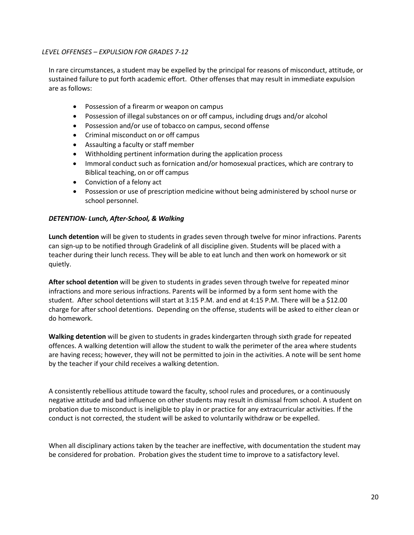# *LEVEL OFFENSES – EXPULSION FOR GRADES 7-12*

In rare circumstances, a student may be expelled by the principal for reasons of misconduct, attitude, or sustained failure to put forth academic effort. Other offenses that may result in immediate expulsion are as follows:

- Possession of a firearm or weapon on campus
- Possession of illegal substances on or off campus, including drugs and/or alcohol
- Possession and/or use of tobacco on campus, second offense
- Criminal misconduct on or off campus
- Assaulting a faculty or staff member
- Withholding pertinent information during the application process
- Immoral conduct such as fornication and/or homosexual practices, which are contrary to Biblical teaching, on or off campus
- Conviction of a felony act
- Possession or use of prescription medicine without being administered by school nurse or school personnel.

### *DETENTION- Lunch, After-School, & Walking*

**Lunch detention** will be given to students in grades seven through twelve for minor infractions. Parents can sign-up to be notified through Gradelink of all discipline given. Students will be placed with a teacher during their lunch recess. They will be able to eat lunch and then work on homework or sit quietly.

**After school detention** will be given to students in grades seven through twelve for repeated minor infractions and more serious infractions. Parents will be informed by a form sent home with the student. After school detentions will start at 3:15 P.M. and end at 4:15 P.M. There will be a \$12.00 charge for after school detentions. Depending on the offense, students will be asked to either clean or do homework.

**Walking detention** will be given to students in grades kindergarten through sixth grade for repeated offences. A walking detention will allow the student to walk the perimeter of the area where students are having recess; however, they will not be permitted to join in the activities. A note will be sent home by the teacher if your child receives a walking detention.

A consistently rebellious attitude toward the faculty, school rules and procedures, or a continuously negative attitude and bad influence on other students may result in dismissal from school. A student on probation due to misconduct is ineligible to play in or practice for any extracurricular activities. If the conduct is not corrected, the student will be asked to voluntarily withdraw or be expelled.

When all disciplinary actions taken by the teacher are ineffective, with documentation the student may be considered for probation. Probation gives the student time to improve to a satisfactory level.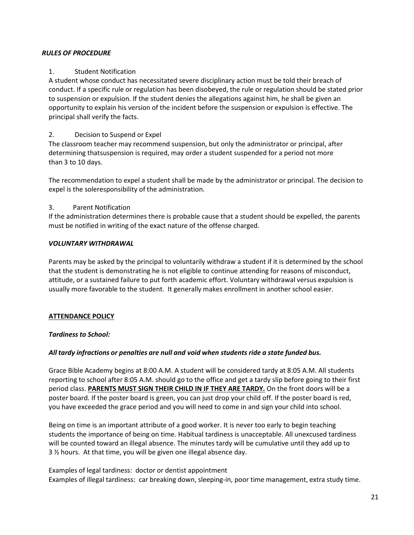## *RULES OF PROCEDURE*

# 1. Student Notification

A student whose conduct has necessitated severe disciplinary action must be told their breach of conduct. If a specific rule or regulation has been disobeyed, the rule or regulation should be stated prior to suspension or expulsion. If the student denies the allegations against him, he shall be given an opportunity to explain his version of the incident before the suspension or expulsion is effective. The principal shall verify the facts.

### 2. Decision to Suspend or Expel

The classroom teacher may recommend suspension, but only the administrator or principal, after determining thatsuspension is required, may order a student suspended for a period not more than 3 to 10 days.

The recommendation to expel a student shall be made by the administrator or principal. The decision to expel is the soleresponsibility of the administration.

## 3. Parent Notification

If the administration determines there is probable cause that a student should be expelled, the parents must be notified in writing of the exact nature of the offense charged.

## *VOLUNTARY WITHDRAWAL*

Parents may be asked by the principal to voluntarily withdraw a student if it is determined by the school that the student is demonstrating he is not eligible to continue attending for reasons of misconduct, attitude, or a sustained failure to put forth academic effort. Voluntary withdrawal versus expulsion is usually more favorable to the student. It generally makes enrollment in another school easier.

# **ATTENDANCE POLICY**

### *Tardiness to School:*

### *All tardy infractions or penalties are null and void when students ride a state funded bus.*

Grace Bible Academy begins at 8:00 A.M. A student will be considered tardy at 8:05 A.M. All students reporting to school after 8:05 A.M. should go to the office and get a tardy slip before going to their first period class. **PARENTS MUST SIGN THEIR CHILD IN IF THEY ARE TARDY.** On the front doors will be a poster board. If the poster board is green, you can just drop your child off. If the poster board is red, you have exceeded the grace period and you will need to come in and sign your child into school.

Being on time is an important attribute of a good worker. It is never too early to begin teaching students the importance of being on time. Habitual tardiness is unacceptable. All unexcused tardiness will be counted toward an illegal absence. The minutes tardy will be cumulative until they add up to 3 ½ hours. At that time, you will be given one illegal absence day.

Examples of legal tardiness: doctor or dentist appointment Examples of illegal tardiness: car breaking down, sleeping-in, poor time management, extra study time.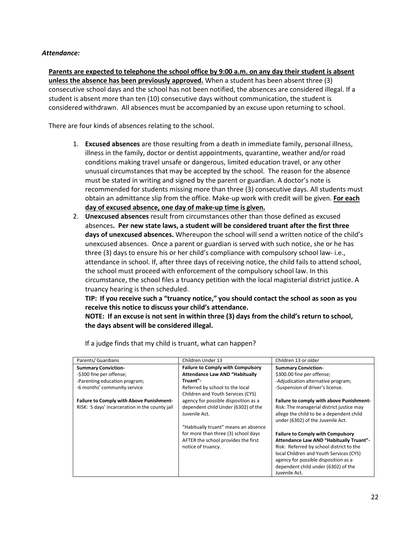#### *Attendance:*

**Parents are expected to telephone the school office by 9:00 a.m. on any day their student is absent unless the absence has been previously approved.** When a student has been absent three (3) consecutive school days and the school has not been notified, the absences are considered illegal. If a student is absent more than ten (10) consecutive days without communication, the student is considered withdrawn. All absences must be accompanied by an excuse upon returning to school.

There are four kinds of absences relating to the school.

- 1. **Excused absences** are those resulting from a death in immediate family, personal illness, illness in the family, doctor or dentist appointments, quarantine, weather and/or road conditions making travel unsafe or dangerous, limited education travel, or any other unusual circumstances that may be accepted by the school. The reason for the absence must be stated in writing and signed by the parent or guardian. A doctor's note is recommended for students missing more than three (3) consecutive days. All students must obtain an admittance slip from the office. Make-up work with credit will be given. **For each day of excused absence, one day of make-up time is given.**
- 2. **Unexcused absences** result from circumstances other than those defined as excused absences**. Per new state laws, a student will be considered truant after the first three days of unexcused absences.** Whereupon the school will send a written notice of the child's unexcused absences. Once a parent or guardian is served with such notice, she or he has three (3) days to ensure his or her child's compliance with compulsory school law- i.e., attendance in school. If, after three days of receiving notice, the child fails to attend school, the school must proceed with enforcement of the compulsory school law. In this circumstance, the school files a truancy petition with the local magisterial district justice. A truancy hearing is then scheduled.

**TIP: If you receive such a "truancy notice," you should contact the school as soon as you receive this notice to discuss your child's attendance.**

**NOTE: If an excuse is not sent in within three (3) days from the child's return to school, the days absent will be considered illegal.**

| Parents/ Guardians                              | Children Under 13                        | Children 13 or older                           |
|-------------------------------------------------|------------------------------------------|------------------------------------------------|
| <b>Summary Conviction-</b>                      | <b>Failure to Comply with Compulsory</b> | <b>Summary Conviction-</b>                     |
| -\$300 fine per offense;                        | <b>Attendance Law AND "Habitually</b>    | \$300.00 fine per offense;                     |
| -Parenting education program;                   | Truant"-                                 | -Adjudication alternative program;             |
| -6 months' community service                    | Referred by school to the local          | -Suspension of driver's license.               |
|                                                 | Children and Youth Services (CYS)        |                                                |
| <b>Failure to Comply with Above Punishment-</b> | agency for possible disposition as a     | Failure to comply with above Punishment-       |
| RISK: 5 days' incarceration in the county jail  | dependent child Under (6302) of the      | Risk: The managerial district justice may      |
|                                                 | Juvenile Act.                            | allege the child to be a dependent child       |
|                                                 |                                          | under (6302) of the Juvenile Act.              |
|                                                 | "Habitually truant" means an absence     |                                                |
|                                                 | for more than three (3) school days      | <b>Failure to Comply with Compulsory</b>       |
|                                                 | AFTER the school provides the first      | <b>Attendance Law AND "Habitually Truant"-</b> |
|                                                 | notice of truancy.                       | Risk: Referred by school district to the       |
|                                                 |                                          | local Children and Youth Services (CYS)        |
|                                                 |                                          | agency for possible disposition as a           |
|                                                 |                                          | dependent child under (6302) of the            |
|                                                 |                                          | Juvenile Act.                                  |

If a judge finds that my child is truant, what can happen?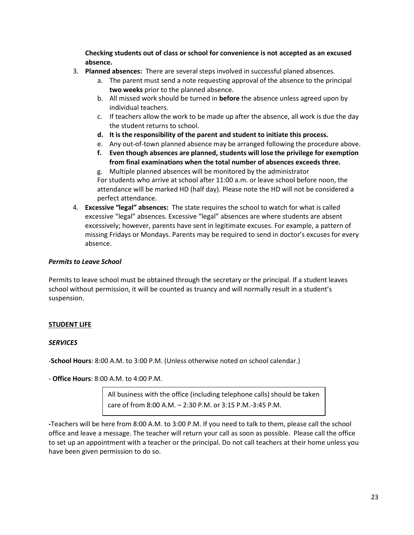**Checking students out of class or school for convenience is not accepted as an excused absence.**

- 3. **Planned absences:** There are several steps involved in successful planed absences.
	- a. The parent must send a note requesting approval of the absence to the principal **two weeks** prior to the planned absence.
	- b. All missed work should be turned in **before** the absence unless agreed upon by individual teachers.
	- c. If teachers allow the work to be made up after the absence, all work is due the day the student returns to school.
	- **d. It is the responsibility of the parent and student to initiate this process.**
	- e. Any out-of-town planned absence may be arranged following the procedure above.
	- **f. Even though absences are planned, students will lose the privilege for exemption from final examinations when the total number of absences exceeds three.**

g. Multiple planned absences will be monitored by the administrator For students who arrive at school after 11:00 a.m. or leave school before noon, the attendance will be marked HD (half day). Please note the HD will not be considered a perfect attendance.

4. **Excessive "legal" absences:** The state requires the school to watch for what is called excessive "legal" absences. Excessive "legal" absences are where students are absent excessively; however, parents have sent in legitimate excuses. For example, a pattern of missing Fridays or Mondays. Parents may be required to send in doctor's excuses for every absence.

### *Permits to Leave School*

Permits to leave school must be obtained through the secretary or the principal. If a student leaves school without permission, it will be counted as truancy and will normally result in a student's suspension.

# **STUDENT LIFE**

### *SERVICES*

-**School Hours**: 8:00 A.M. to 3:00 P.M. (Unless otherwise noted on school calendar.)

- **Office Hours**: 8:00 A.M. to 4:00 P.M.

All business with the office (including telephone calls) should be taken care of from 8:00 A.M. – 2:30 P.M. or 3:15 P.M.-3:45 P.M.

*-*Teachers will be here from 8:00 A.M. to 3:00 P.M. If you need to talk to them, please call the school office and leave a message. The teacher will return your call as soon as possible. Please call the office to set up an appointment with a teacher or the principal. Do not call teachers at their home unless you have been given permission to do so.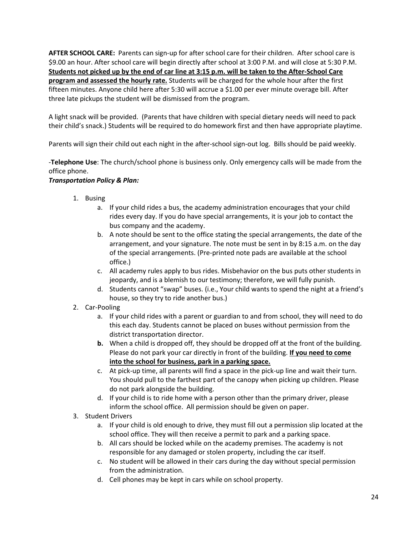**AFTER SCHOOL CARE:** Parents can sign-up for after school care for their children. After school care is \$9.00 an hour. After school care will begin directly after school at 3:00 P.M. and will close at 5:30 P.M. **Students not picked up by the end of car line at 3:15 p.m. will be taken to the After-School Care program and assessed the hourly rate.** Students will be charged for the whole hour after the first fifteen minutes. Anyone child here after 5:30 will accrue a \$1.00 per ever minute overage bill. After three late pickups the student will be dismissed from the program.

A light snack will be provided. (Parents that have children with special dietary needs will need to pack their child's snack.) Students will be required to do homework first and then have appropriate playtime.

Parents will sign their child out each night in the after-school sign-out log. Bills should be paid weekly.

-**Telephone Use**: The church/school phone is business only. Only emergency calls will be made from the office phone.

# *Transportation Policy & Plan:*

- 1. Busing
	- a. If your child rides a bus, the academy administration encourages that your child rides every day. If you do have special arrangements, it is your job to contact the bus company and the academy.
	- b. A note should be sent to the office stating the special arrangements, the date of the arrangement, and your signature. The note must be sent in by 8:15 a.m. on the day of the special arrangements. (Pre-printed note pads are available at the school office.)
	- c. All academy rules apply to bus rides. Misbehavior on the bus puts other students in jeopardy, and is a blemish to our testimony; therefore, we will fully punish.
	- d. Students cannot "swap" buses. (i.e., Your child wants to spend the night at a friend's house, so they try to ride another bus.)
- 2. Car-Pooling
	- a. If your child rides with a parent or guardian to and from school, they will need to do this each day. Students cannot be placed on buses without permission from the district transportation director.
	- **b.** When a child is dropped off, they should be dropped off at the front of the building. Please do not park your car directly in front of the building. **If you need to come into the school for business, park in a parking space.**
	- c. At pick-up time, all parents will find a space in the pick-up line and wait their turn. You should pull to the farthest part of the canopy when picking up children. Please do not park alongside the building.
	- d. If your child is to ride home with a person other than the primary driver, please inform the school office. All permission should be given on paper.
- 3. Student Drivers
	- a. If your child is old enough to drive, they must fill out a permission slip located at the school office. They will then receive a permit to park and a parking space.
	- b. All cars should be locked while on the academy premises. The academy is not responsible for any damaged or stolen property, including the car itself.
	- c. No student will be allowed in their cars during the day without special permission from the administration.
	- d. Cell phones may be kept in cars while on school property.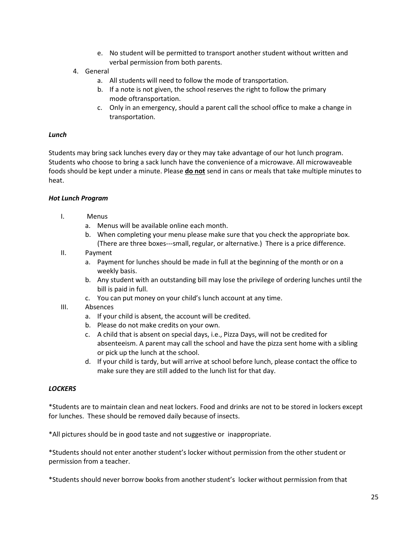- e. No student will be permitted to transport another student without written and verbal permission from both parents.
- 4. General
	- a. All students will need to follow the mode of transportation.
	- b. If a note is not given, the school reserves the right to follow the primary mode oftransportation.
	- c. Only in an emergency, should a parent call the school office to make a change in transportation.

### *Lunch*

Students may bring sack lunches every day or they may take advantage of our hot lunch program. Students who choose to bring a sack lunch have the convenience of a microwave. All microwaveable foods should be kept under a minute. Please **do not** send in cans or meals that take multiple minutes to heat.

### *Hot Lunch Program*

- I. Menus
	- a. Menus will be available online each month.
	- b. When completing your menu please make sure that you check the appropriate box. (There are three boxes---small, regular, or alternative.) There is a price difference.
- II. Payment
	- a. Payment for lunches should be made in full at the beginning of the month or on a weekly basis.
	- b. Any student with an outstanding bill may lose the privilege of ordering lunches until the bill is paid in full.
	- c. You can put money on your child's lunch account at any time.
- III. Absences
	- a. If your child is absent, the account will be credited.
	- b. Please do not make credits on your own.
	- c. A child that is absent on special days, i.e., Pizza Days, will not be credited for absenteeism. A parent may call the school and have the pizza sent home with a sibling or pick up the lunch at the school.
	- d. If your child is tardy, but will arrive at school before lunch, please contact the office to make sure they are still added to the lunch list for that day.

### *LOCKERS*

\*Students are to maintain clean and neat lockers. Food and drinks are not to be stored in lockers except for lunches. These should be removed daily because of insects.

\*All pictures should be in good taste and not suggestive or inappropriate.

\*Students should not enter another student's locker without permission from the other student or permission from a teacher.

\*Students should never borrow books from anotherstudent's locker without permission from that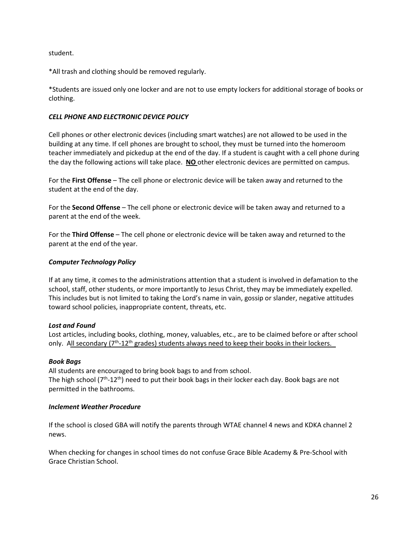student.

\*All trash and clothing should be removed regularly.

\*Students are issued only one locker and are not to use empty lockers for additional storage of books or clothing.

## *CELL PHONE AND ELECTRONIC DEVICE POLICY*

Cell phones or other electronic devices (including smart watches) are not allowed to be used in the building at any time. If cell phones are brought to school, they must be turned into the homeroom teacher immediately and pickedup at the end of the day. If a student is caught with a cell phone during the day the following actions will take place. **NO** other electronic devices are permitted on campus.

For the **First Offense** – The cell phone or electronic device will be taken away and returned to the student at the end of the day.

For the **Second Offense** – The cell phone or electronic device will be taken away and returned to a parent at the end of the week.

For the **Third Offense** – The cell phone or electronic device will be taken away and returned to the parent at the end of the year.

## *Computer Technology Policy*

If at any time, it comes to the administrations attention that a student is involved in defamation to the school, staff, other students, or more importantly to Jesus Christ, they may be immediately expelled. This includes but is not limited to taking the Lord's name in vain, gossip or slander, negative attitudes toward school policies, inappropriate content, threats, etc.

### *Lost and Found*

Lost articles, including books, clothing, money, valuables, etc., are to be claimed before or after school only. All secondary  $(7<sup>th</sup>-12<sup>th</sup>$  grades) students always need to keep their books in their lockers.

### *Book Bags*

All students are encouraged to bring book bags to and from school. The high school ( $7<sup>th</sup>$ -12<sup>th</sup>) need to put their book bags in their locker each day. Book bags are not permitted in the bathrooms.

### *Inclement Weather Procedure*

If the school is closed GBA will notify the parents through WTAE channel 4 news and KDKA channel 2 news.

When checking for changes in school times do not confuse Grace Bible Academy & Pre-School with Grace Christian School.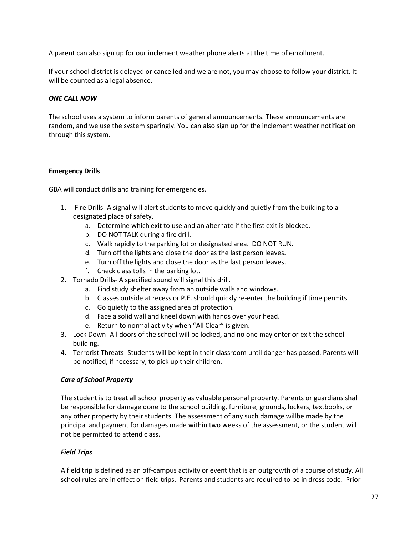A parent can also sign up for our inclement weather phone alerts at the time of enrollment.

If your school district is delayed or cancelled and we are not, you may choose to follow your district. It will be counted as a legal absence.

# *ONE CALL NOW*

The school uses a system to inform parents of general announcements. These announcements are random, and we use the system sparingly. You can also sign up for the inclement weather notification through this system.

## **Emergency Drills**

GBA will conduct drills and training for emergencies.

- 1. Fire Drills- A signal will alert students to move quickly and quietly from the building to a designated place of safety.
	- a. Determine which exit to use and an alternate if the first exit is blocked.
	- b. DO NOT TALK during a fire drill.
	- c. Walk rapidly to the parking lot or designated area. DO NOT RUN.
	- d. Turn off the lights and close the door as the last person leaves.
	- e. Turn off the lights and close the door as the last person leaves.
	- f. Check class tolls in the parking lot.
- 2. Tornado Drills- A specified sound will signal this drill.
	- a. Find study shelter away from an outside walls and windows.
	- b. Classes outside at recess or P.E. should quickly re-enter the building if time permits.
	- c. Go quietly to the assigned area of protection.
	- d. Face a solid wall and kneel down with hands over your head.
	- e. Return to normal activity when "All Clear" is given.
- 3. Lock Down- All doors of the school will be locked, and no one may enter or exit the school building.
- 4. Terrorist Threats- Students will be kept in their classroom until danger has passed. Parents will be notified, if necessary, to pick up their children.

### *Care of School Property*

The student is to treat all school property as valuable personal property. Parents or guardians shall be responsible for damage done to the school building, furniture, grounds, lockers, textbooks, or any other property by their students. The assessment of any such damage willbe made by the principal and payment for damages made within two weeks of the assessment, or the student will not be permitted to attend class.

# *Field Trips*

A field trip is defined as an off-campus activity or event that is an outgrowth of a course of study. All school rules are in effect on field trips. Parents and students are required to be in dress code. Prior